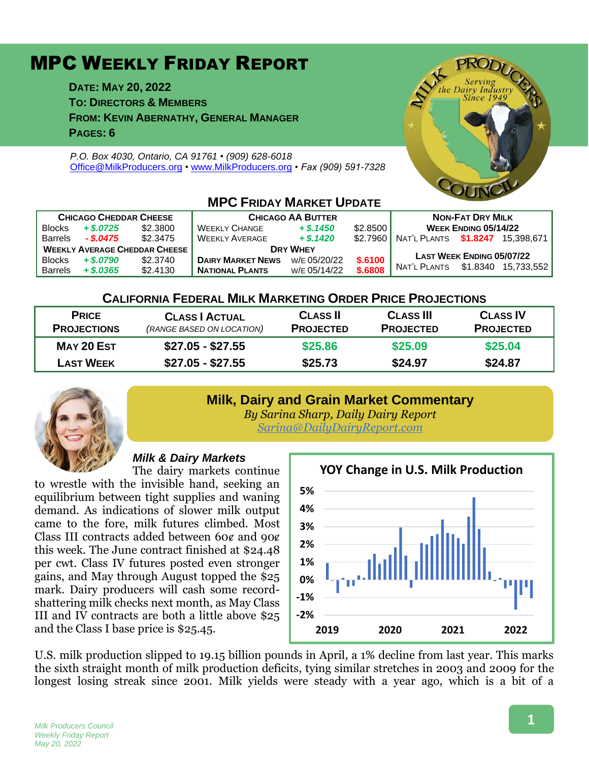# MPC WEEKLY FRIDAY REPORT

**DATE: MAY 20, 2022**

**TO: DIRECTORS & MEMBERS**

**FROM: KEVIN ABERNATHY, GENERAL MANAGER**

**PAGES: 6**

*P.O. Box 4030, Ontario, CA 91761 • (909) 628-6018* [Office@MilkProducers.org](mailto:office@milkproducers.org) *•* [www.MilkProducers.org](http://www.milkproducers.org/) *• Fax (909) 591-7328*



| <b>CHICAGO CHEDDAR CHEESE</b>        |              |          | <b>CHICAGO AA BUTTER</b> |              |          | <b>NON-FAT DRY MILK</b>     |                                  |            |  |  |  |
|--------------------------------------|--------------|----------|--------------------------|--------------|----------|-----------------------------|----------------------------------|------------|--|--|--|
| <b>Blocks</b>                        | $+$ \$.0725  | \$2,3800 | <b>WEEKLY CHANGE</b>     | $+$ \$.1450  | \$2.8500 | <b>WEEK ENDING 05/14/22</b> |                                  |            |  |  |  |
| <b>Barrels</b>                       | $-.$ \$.0475 | \$2.3475 | <b>WEEKLY AVERAGE</b>    | $+$ \$.1420  | \$2.7960 | NAT'L PLANTS \$1.8247       |                                  | 15.398.671 |  |  |  |
| <b>WEEKLY AVERAGE CHEDDAR CHEESE</b> |              |          | <b>DRY WHEY</b>          |              |          |                             |                                  |            |  |  |  |
| <b>Blocks</b>                        | $+$ \$.0790  | \$2,3740 | <b>DAIRY MARKET NEWS</b> | W/E 05/20/22 | \$.6100  |                             | <b>LAST WEEK ENDING 05/07/22</b> |            |  |  |  |
| <b>Barrels</b>                       | $+$ \$,0365  | \$2,4130 | <b>NATIONAL PLANTS</b>   | W/E 05/14/22 | \$,6808  | NAT'L PLANTS                | \$1.8340                         | 15.733.552 |  |  |  |

### **MPC FRIDAY MARKET LIBDATE**

### **CALIFORNIA FEDERAL MILK MARKETING ORDER PRICE PROJECTIONS**

| <b>PRICE</b><br><b>PROJECTIONS</b> | <b>CLASS   ACTUAL</b><br>(RANGE BASED ON LOCATION) | <b>CLASS II</b><br><b>PROJECTED</b> | <b>CLASS III</b><br><b>PROJECTED</b> | <b>CLASS IV</b><br><b>PROJECTED</b> |
|------------------------------------|----------------------------------------------------|-------------------------------------|--------------------------------------|-------------------------------------|
| MAY 20 EST                         | \$27.05 - \$27.55                                  | \$25.86                             | \$25.09                              | \$25.04                             |
| <b>LAST WEEK</b>                   | $$27.05 - $27.55$                                  | \$25.73                             | \$24.97                              | \$24.87                             |

### **Milk, Dairy and Grain Market Commentary**



*By Sarina Sharp, Daily Dairy Report [Sarina@DailyDairyReport.com](mailto:Sarina@DailyDairyReport.com)*

### *Milk & Dairy Markets*

The dairy markets continue to wrestle with the invisible hand, seeking an equilibrium between tight supplies and waning demand. As indications of slower milk output came to the fore, milk futures climbed. Most Class III contracts added between 60 $\epsilon$  and 90 $\epsilon$ this week. The June contract finished at \$24.48 per cwt. Class IV futures posted even stronger gains, and May through August topped the \$25 mark. Dairy producers will cash some recordshattering milk checks next month, as May Class III and IV contracts are both a little above \$25 and the Class I base price is \$25.45.



U.S. milk production slipped to 19.15 billion pounds in April, a 1% decline from last year. This marks the sixth straight month of milk production deficits, tying similar stretches in 2003 and 2009 for the longest losing streak since 2001. Milk yields were steady with a year ago, which is a bit of a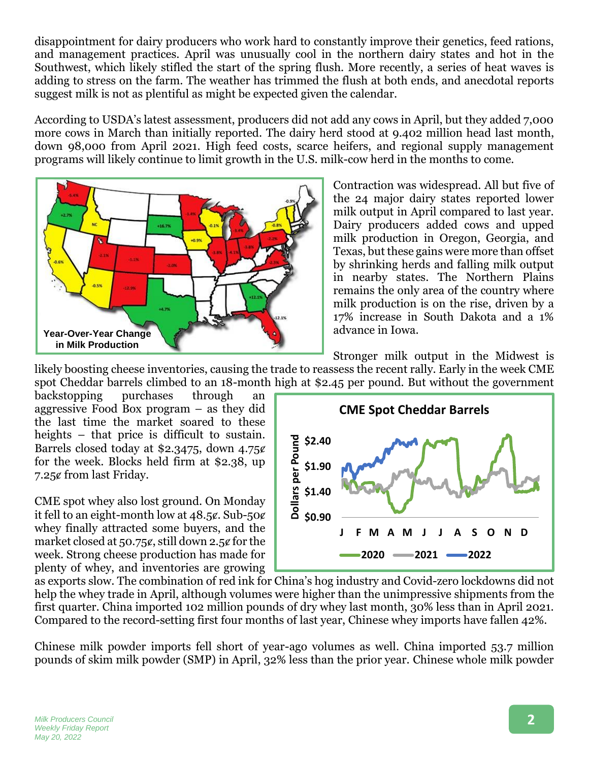disappointment for dairy producers who work hard to constantly improve their genetics, feed rations, and management practices. April was unusually cool in the northern dairy states and hot in the Southwest, which likely stifled the start of the spring flush. More recently, a series of heat waves is adding to stress on the farm. The weather has trimmed the flush at both ends, and anecdotal reports suggest milk is not as plentiful as might be expected given the calendar.

According to USDA's latest assessment, producers did not add any cows in April, but they added 7,000 more cows in March than initially reported. The dairy herd stood at 9.402 million head last month, down 98,000 from April 2021. High feed costs, scarce heifers, and regional supply management programs will likely continue to limit growth in the U.S. milk-cow herd in the months to come.



Contraction was widespread. All but five of the 24 major dairy states reported lower milk output in April compared to last year. Dairy producers added cows and upped milk production in Oregon, Georgia, and Texas, but these gains were more than offset by shrinking herds and falling milk output in nearby states. The Northern Plains remains the only area of the country where milk production is on the rise, driven by a 17% increase in South Dakota and a 1% advance in Iowa.

Stronger milk output in the Midwest is

likely boosting cheese inventories, causing the trade to reassess the recent rally. Early in the week CME spot Cheddar barrels climbed to an 18-month high at \$2.45 per pound. But without the government

backstopping purchases through an aggressive Food Box program – as they did the last time the market soared to these heights – that price is difficult to sustain. Barrels closed today at \$2.3475, down  $4.75¢$ for the week. Blocks held firm at \$2.38, up 7.25ȼ from last Friday.

CME spot whey also lost ground. On Monday it fell to an eight-month low at  $48.5\ell$ . Sub- $50\ell$ whey finally attracted some buyers, and the market closed at  $50.75\ell$ , still down 2.5 $\ell$  for the week. Strong cheese production has made for plenty of whey, and inventories are growing



as exports slow. The combination of red ink for China's hog industry and Covid-zero lockdowns did not help the whey trade in April, although volumes were higher than the unimpressive shipments from the first quarter. China imported 102 million pounds of dry whey last month, 30% less than in April 2021. Compared to the record-setting first four months of last year, Chinese whey imports have fallen 42%.

Chinese milk powder imports fell short of year-ago volumes as well. China imported 53.7 million pounds of skim milk powder (SMP) in April, 32% less than the prior year. Chinese whole milk powder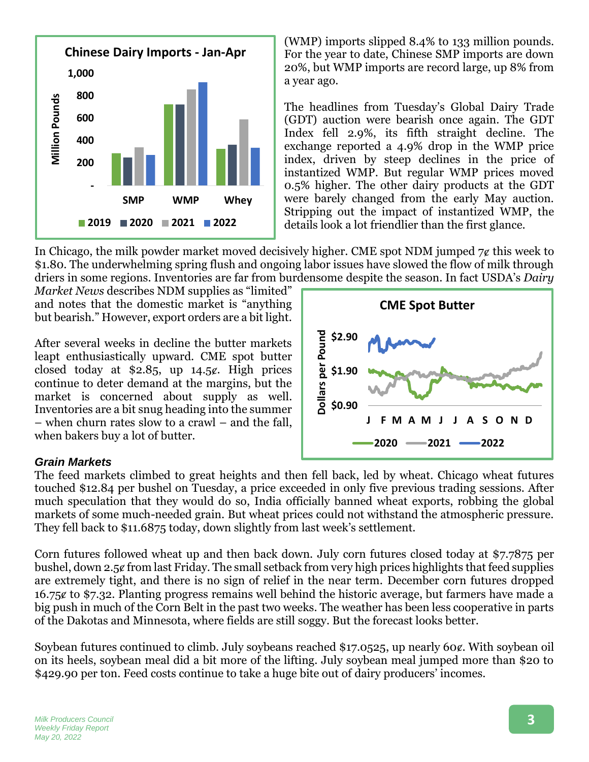

(WMP) imports slipped 8.4% to 133 million pounds. For the year to date, Chinese SMP imports are down 20%, but WMP imports are record large, up 8% from a year ago.

The headlines from Tuesday's Global Dairy Trade (GDT) auction were bearish once again. The GDT Index fell 2.9%, its fifth straight decline. The exchange reported a 4.9% drop in the WMP price index, driven by steep declines in the price of instantized WMP. But regular WMP prices moved 0.5% higher. The other dairy products at the GDT were barely changed from the early May auction. Stripping out the impact of instantized WMP, the details look a lot friendlier than the first glance.

In Chicago, the milk powder market moved decisively higher. CME spot NDM jumped  $7¢$  this week to \$1.80. The underwhelming spring flush and ongoing labor issues have slowed the flow of milk through driers in some regions. Inventories are far from burdensome despite the season. In fact USDA's *Dairy* 

*Market News* describes NDM supplies as "limited" and notes that the domestic market is "anything but bearish." However, export orders are a bit light.

After several weeks in decline the butter markets leapt enthusiastically upward. CME spot butter closed today at  $$2.85$ , up  $14.5¢$ . High prices continue to deter demand at the margins, but the market is concerned about supply as well. Inventories are a bit snug heading into the summer – when churn rates slow to a crawl – and the fall, when bakers buy a lot of butter.

#### *Grain Markets*

The feed markets climbed to great heights and then fell back, led by wheat. Chicago wheat futures touched \$12.84 per bushel on Tuesday, a price exceeded in only five previous trading sessions. After much speculation that they would do so, India officially banned wheat exports, robbing the global markets of some much-needed grain. But wheat prices could not withstand the atmospheric pressure. They fell back to \$11.6875 today, down slightly from last week's settlement.

Corn futures followed wheat up and then back down. July corn futures closed today at \$7.7875 per bushel, down 2.5ȼ from last Friday. The small setback from very high prices highlights that feed supplies are extremely tight, and there is no sign of relief in the near term. December corn futures dropped 16.75ȼ to \$7.32. Planting progress remains well behind the historic average, but farmers have made a big push in much of the Corn Belt in the past two weeks. The weather has been less cooperative in parts of the Dakotas and Minnesota, where fields are still soggy. But the forecast looks better.

Soybean futures continued to climb. July soybeans reached \$17.0525, up nearly 60 $\ell$ . With soybean oil on its heels, soybean meal did a bit more of the lifting. July soybean meal jumped more than \$20 to \$429.90 per ton. Feed costs continue to take a huge bite out of dairy producers' incomes.

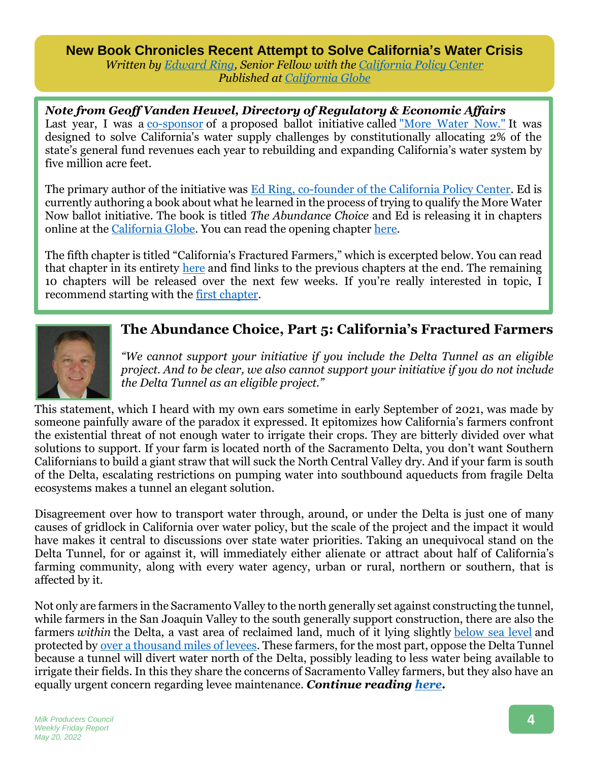**New Book Chronicles Recent Attempt to Solve California's Water Crisis** *Written by [Edward Ring,](https://californiapolicycenter.org/people/edward-ring/) Senior Fellow with the [California Policy Center](https://californiapolicycenter.org/) Published at [California Globe](https://californiaglobe.com/articles/the-abundance-choice-part-5-californias-fractured-farmers/)*

*Note from Geoff Vanden Heuvel, Directory of Regulatory & Economic Affairs* Last year, I was a [co-sponsor](https://morewaternow.com/meet-the-team/) of a proposed ballot initiative called ["More Water Now."](https://morewaternow.com/) It was designed to solve California's water supply challenges by constitutionally allocating 2% of the state's general fund revenues each year to rebuilding and expanding California's water system by five million acre feet.

The primary author of the initiative was [Ed Ring, co-founder of the California Policy Center.](https://californiapolicycenter.org/people/edward-ring/) Ed is currently authoring a book about what he learned in the process of trying to qualify the More Water Now ballot initiative. The book is titled *The Abundance Choice* and Ed is releasing it in chapters online at the [California Globe.](https://californiaglobe.com/) You can read the opening chapter [here.](https://californiaglobe.com/articles/the-abundance-choice-part-one/)

The fifth chapter is titled "California's Fractured Farmers," which is excerpted below. You can read that chapter in its entirety [here](https://californiaglobe.com/articles/the-abundance-choice-part-5-californias-fractured-farmers/) and find links to the previous chapters at the end. The remaining 10 chapters will be released over the next few weeks. If you're really interested in topic, I recommend starting with the [first chapter.](https://californiaglobe.com/articles/the-abundance-choice-part-one/)



### **The Abundance Choice, Part 5: California's Fractured Farmers**

*"We cannot support your initiative if you include the Delta Tunnel as an eligible project. And to be clear, we also cannot support your initiative if you do not include the Delta Tunnel as an eligible project."*

This statement, which I heard with my own ears sometime in early September of 2021, was made by someone painfully aware of the paradox it expressed. It epitomizes how California's farmers confront the existential threat of not enough water to irrigate their crops. They are bitterly divided over what solutions to support. If your farm is located north of the Sacramento Delta, you don't want Southern Californians to build a giant straw that will suck the North Central Valley dry. And if your farm is south of the Delta, escalating restrictions on pumping water into southbound aqueducts from fragile Delta ecosystems makes a tunnel an elegant solution.

Disagreement over how to transport water through, around, or under the Delta is just one of many causes of gridlock in California over water policy, but the scale of the project and the impact it would have makes it central to discussions over state water priorities. Taking an unequivocal stand on the Delta Tunnel, for or against it, will immediately either alienate or attract about half of California's farming community, along with every water agency, urban or rural, northern or southern, that is affected by it.

Not only are farmers in the Sacramento Valley to the north generally set against constructing the tunnel, while farmers in the San Joaquin Valley to the south generally support construction, there are also the farmers *within* the Delta, a vast area of reclaimed land, much of it lying slightly [below sea level](https://pubs.usgs.gov/circ/circ1182/pdf/11Delta.pdf) and protected by <u>over a thousand miles of levees</u>. These farmers, for the most part, oppose the Delta Tunnel because a tunnel will divert water north of the Delta, possibly leading to less water being available to irrigate their fields. In this they share the concerns of Sacramento Valley farmers, but they also have an equally urgent concern regarding levee maintenance. *Continue reading [here.](https://californiaglobe.com/articles/the-abundance-choice-part-5-californias-fractured-farmers/)*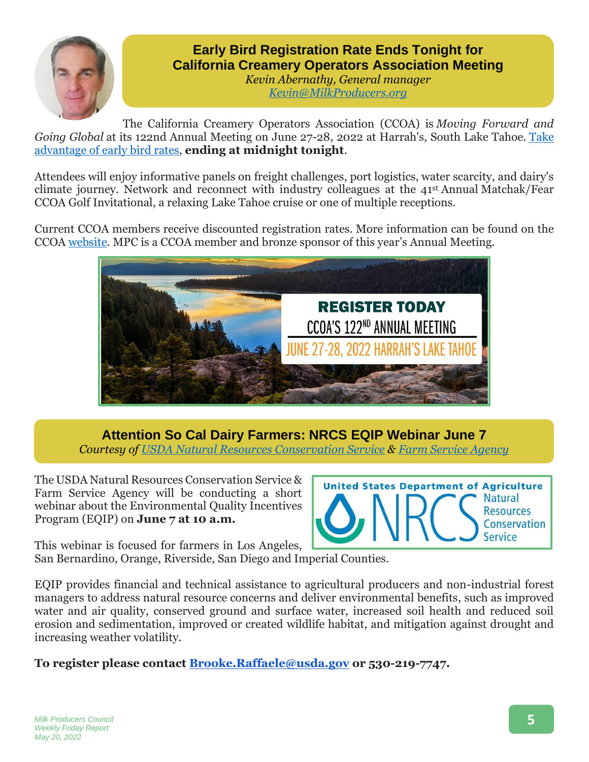

# **Early Bird Registration Rate Ends Tonight for California Creamery Operators Association Meeting**

*Kevin Abernathy, General manager [Kevin@MilkProducers.org](mailto:Kevin@MilkProducers.org)*

The California Creamery Operators Association (CCOA) is *Moving Forward and Going Global* at its 122nd Annual Meeting on June 27-28, 2022 at Harrah's, South Lake Tahoe. [Take](https://westcoastadvisors.regfox.com/ccoa-122nd-annual-meeting)  [advantage of early bird rates,](https://westcoastadvisors.regfox.com/ccoa-122nd-annual-meeting) **ending at midnight tonight**.

Attendees will enjoy informative panels on freight challenges, port logistics, water scarcity, and dairy's climate journey. Network and reconnect with industry colleagues at the 41st Annual Matchak/Fear CCOA Golf Invitational, a relaxing Lake Tahoe cruise or one of multiple receptions.

Current CCOA members receive discounted registration rates. More information can be found on the CCOA [website.](https://ccoadairy.org/2022-annual-meeting/) MPC is a CCOA member and bronze sponsor of this year's Annual Meeting.



**Attention So Cal Dairy Farmers: NRCS EQIP Webinar June 7**

*Courtesy of [USDA Natural Resources](https://www.nrcs.usda.gov/wps/portal/nrcs/site/ca/home/) Conservation Service & [Farm Service Agency](https://www.fsa.usda.gov/state-offices/California/index)*

The USDA Natural Resources Conservation Service & Farm Service Agency will be conducting a short webinar about the Environmental Quality Incentives Program (EQIP) on **June 7 at 10 a.m.**



This webinar is focused for farmers in Los Angeles, San Bernardino, Orange, Riverside, San Diego and Imperial Counties.

EQIP provides financial and technical assistance to agricultural producers and non-industrial forest managers to address natural resource concerns and deliver environmental benefits, such as improved water and air quality, conserved ground and surface water, increased soil health and reduced soil erosion and sedimentation, improved or created wildlife habitat, and mitigation against drought and increasing weather volatility.

**To register please contact [Brooke.Raffaele@usda.gov](mailto:Brooke.Raffaele@usda.gov) or 530-219-7747.**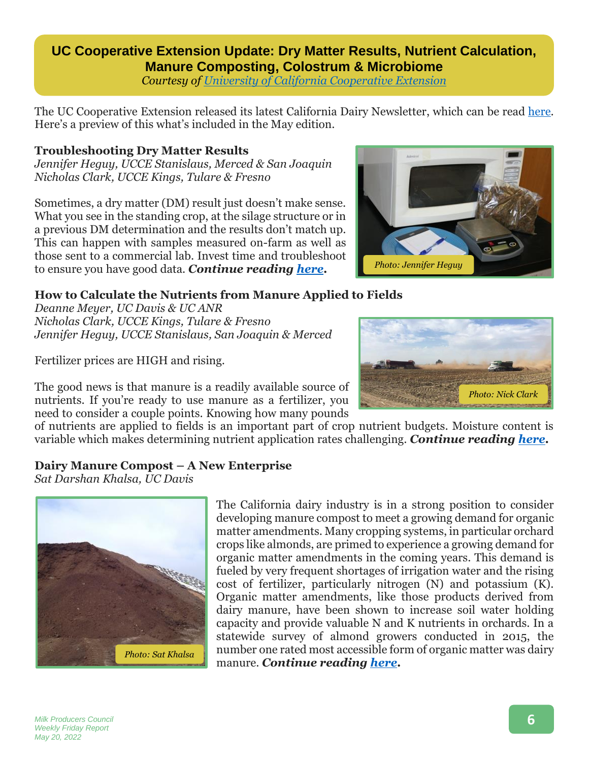## **UC Cooperative Extension Update: Dry Matter Results, Nutrient Calculation, Manure Composting, Colostrum & Microbiome**

*Courtesy of [University of California](https://cetulare.ucanr.edu/newsletters/California_Dairy_Newsletter93277.pdf) Cooperative Extension*

The UC Cooperative Extension released its latest California Dairy Newsletter, which can be read [here.](https://cetulare.ucanr.edu/newsletters/California_Dairy_Newsletter93277.pdf) Here's a preview of this what's included in the May edition.

### **Troubleshooting Dry Matter Results**

*Jennifer Heguy, UCCE Stanislaus, Merced & San Joaquin Nicholas Clark, UCCE Kings, Tulare & Fresno*

Sometimes, a dry matter (DM) result just doesn't make sense. What you see in the standing crop, at the silage structure or in a previous DM determination and the results don't match up. This can happen with samples measured on-farm as well as those sent to a commercial lab. Invest time and troubleshoot to ensure you have good data. *Continue reading [here.](https://cetulare.ucanr.edu/newsletters/California_Dairy_Newsletter93277.pdf)*



### **How to Calculate the Nutrients from Manure Applied to Fields**

*Deanne Meyer, UC Davis & UC ANR Nicholas Clark, UCCE Kings, Tulare & Fresno Jennifer Heguy, UCCE Stanislaus, San Joaquin & Merced*

Fertilizer prices are HIGH and rising.



The good news is that manure is a readily available source of nutrients. If you're ready to use manure as a fertilizer, you need to consider a couple points. Knowing how many pounds

of nutrients are applied to fields is an important part of crop nutrient budgets. Moisture content is variable which makes determining nutrient application rates challenging. *Continue reading [here.](https://cetulare.ucanr.edu/newsletters/California_Dairy_Newsletter93277.pdf#page=3)*

### **Dairy Manure Compost – A New Enterprise**

*Sat Darshan Khalsa, UC Davis*



The California dairy industry is in a strong position to consider developing manure compost to meet a growing demand for organic matter amendments. Many cropping systems, in particular orchard crops like almonds, are primed to experience a growing demand for organic matter amendments in the coming years. This demand is fueled by very frequent shortages of irrigation water and the rising cost of fertilizer, particularly nitrogen (N) and potassium (K). Organic matter amendments, like those products derived from dairy manure, have been shown to increase soil water holding capacity and provide valuable N and K nutrients in orchards. In a statewide survey of almond growers conducted in 2015, the number one rated most accessible form of organic matter was dairy manure. *Continue reading [here.](https://cetulare.ucanr.edu/newsletters/California_Dairy_Newsletter93277.pdf#page=4)*